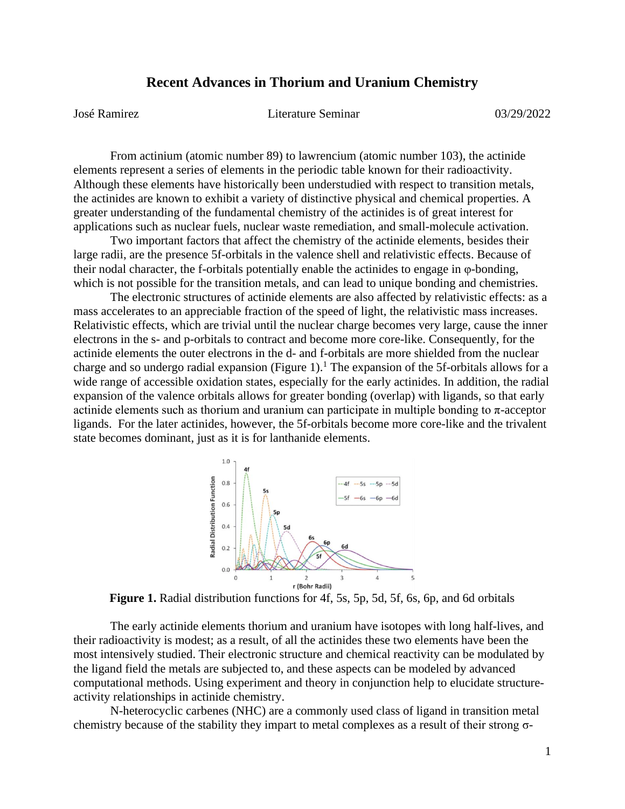## **Recent Advances in Thorium and Uranium Chemistry**

José Ramirez Literature Seminar 03/29/2022

From actinium (atomic number 89) to lawrencium (atomic number 103), the actinide elements represent a series of elements in the periodic table known for their radioactivity. Although these elements have historically been understudied with respect to transition metals, the actinides are known to exhibit a variety of distinctive physical and chemical properties. A greater understanding of the fundamental chemistry of the actinides is of great interest for applications such as nuclear fuels, nuclear waste remediation, and small-molecule activation.

Two important factors that affect the chemistry of the actinide elements, besides their large radii, are the presence 5f-orbitals in the valence shell and relativistic effects. Because of their nodal character, the f-orbitals potentially enable the actinides to engage in φ-bonding, which is not possible for the transition metals, and can lead to unique bonding and chemistries.

The electronic structures of actinide elements are also affected by relativistic effects: as a mass accelerates to an appreciable fraction of the speed of light, the relativistic mass increases. Relativistic effects, which are trivial until the nuclear charge becomes very large, cause the inner electrons in the s- and p-orbitals to contract and become more core-like. Consequently, for the actinide elements the outer electrons in the d- and f-orbitals are more shielded from the nuclear charge and so undergo radial expansion (Figure 1).<sup>1</sup> The expansion of the 5f-orbitals allows for a wide range of accessible oxidation states, especially for the early actinides. In addition, the radial expansion of the valence orbitals allows for greater bonding (overlap) with ligands, so that early actinide elements such as thorium and uranium can participate in multiple bonding to  $\pi$ -acceptor ligands. For the later actinides, however, the 5f-orbitals become more core-like and the trivalent state becomes dominant, just as it is for lanthanide elements.



**Figure 1.** Radial distribution functions for 4f, 5s, 5p, 5d, 5f, 6s, 6p, and 6d orbitals

The early actinide elements thorium and uranium have isotopes with long half-lives, and their radioactivity is modest; as a result, of all the actinides these two elements have been the most intensively studied. Their electronic structure and chemical reactivity can be modulated by the ligand field the metals are subjected to, and these aspects can be modeled by advanced computational methods. Using experiment and theory in conjunction help to elucidate structureactivity relationships in actinide chemistry.

N-heterocyclic carbenes (NHC) are a commonly used class of ligand in transition metal chemistry because of the stability they impart to metal complexes as a result of their strong σ-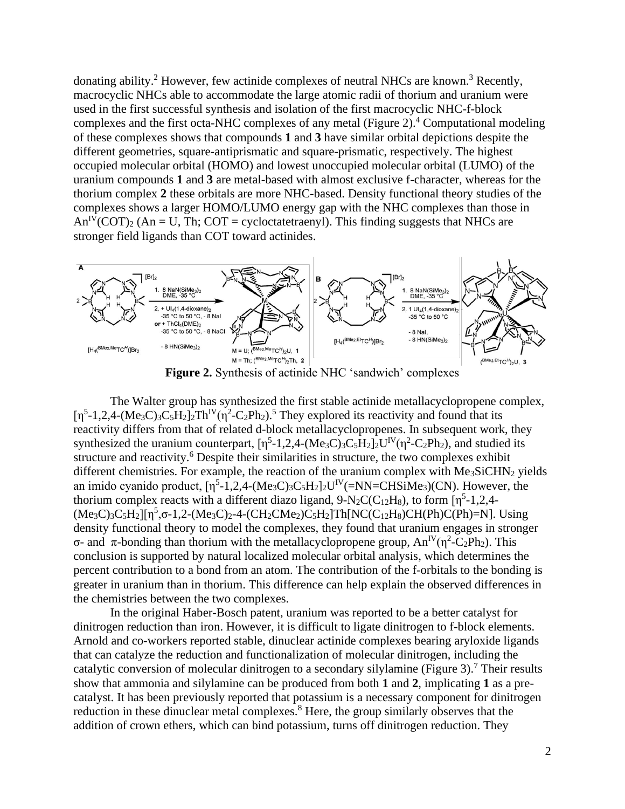donating ability.<sup>2</sup> However, few actinide complexes of neutral NHCs are known.<sup>3</sup> Recently, macrocyclic NHCs able to accommodate the large atomic radii of thorium and uranium were used in the first successful synthesis and isolation of the first macrocyclic NHC-f-block complexes and the first octa-NHC complexes of any metal (Figure 2). <sup>4</sup> Computational modeling of these complexes shows that compounds **1** and **3** have similar orbital depictions despite the different geometries, square-antiprismatic and square-prismatic, respectively. The highest occupied molecular orbital (HOMO) and lowest unoccupied molecular orbital (LUMO) of the uranium compounds **1** and **3** are metal-based with almost exclusive f-character, whereas for the thorium complex **2** these orbitals are more NHC-based. Density functional theory studies of the complexes shows a larger HOMO/LUMO energy gap with the NHC complexes than those in  $An^{IV}(COT)_{2}$  (An = U, Th; COT = cycloctatetraenyl). This finding suggests that NHCs are stronger field ligands than COT toward actinides.



**Figure 2.** Synthesis of actinide NHC 'sandwich' complexes

The Walter group has synthesized the first stable actinide metallacyclopropene complex,  $[\eta^5$ -1,2,4-(Me<sub>3</sub>C)<sub>3</sub>C<sub>5</sub>H<sub>2</sub>]<sub>2</sub>Th<sup>IV</sup>( $\eta^2$ -C<sub>2</sub>Ph<sub>2</sub>).<sup>5</sup> They explored its reactivity and found that its reactivity differs from that of related d-block metallacyclopropenes. In subsequent work, they synthesized the uranium counterpart,  $[\eta^5$ -1,2,4-(Me<sub>3</sub>C)<sub>3</sub>C<sub>5</sub>H<sub>2</sub>]<sub>2</sub>U<sup>IV</sup>( $\eta^2$ -C<sub>2</sub>Ph<sub>2</sub>), and studied its structure and reactivity.<sup>6</sup> Despite their similarities in structure, the two complexes exhibit different chemistries. For example, the reaction of the uranium complex with Me<sub>3</sub>SiCHN<sub>2</sub> yields an imido cyanido product,  $[\eta^5$ -1,2,4-(Me<sub>3</sub>C)<sub>3</sub>C<sub>5</sub>H<sub>2</sub>]<sub>2</sub>U<sup>IV</sup>(=NN=CHSiMe<sub>3</sub>)(CN). However, the thorium complex reacts with a different diazo ligand,  $9-N_2C(C_{12}H_8)$ , to form  $[\eta^5-1,2,4 (Me_3C_3C_5H_2][\eta^5, \sigma$ -1,2- $(Me_3C_2-4-(CH_2CMe_2)C_5H_2]Th[NC(C_{12}H_8)CH(Ph)C(Ph)=N]$ . Using density functional theory to model the complexes, they found that uranium engages in stronger σ- and π-bonding than thorium with the metallacyclopropene group,  $An^{IV}(\eta^2-C_2Ph_2)$ . This conclusion is supported by natural localized molecular orbital analysis, which determines the percent contribution to a bond from an atom. The contribution of the f-orbitals to the bonding is greater in uranium than in thorium. This difference can help explain the observed differences in the chemistries between the two complexes.

In the original Haber-Bosch patent, uranium was reported to be a better catalyst for dinitrogen reduction than iron. However, it is difficult to ligate dinitrogen to f-block elements. Arnold and co-workers reported stable, dinuclear actinide complexes bearing aryloxide ligands that can catalyze the reduction and functionalization of molecular dinitrogen, including the catalytic conversion of molecular dinitrogen to a secondary silylamine (Figure 3).<sup>7</sup> Their results show that ammonia and silylamine can be produced from both **1** and **2**, implicating **1** as a precatalyst. It has been previously reported that potassium is a necessary component for dinitrogen reduction in these dinuclear metal complexes.<sup>8</sup> Here, the group similarly observes that the addition of crown ethers, which can bind potassium, turns off dinitrogen reduction. They